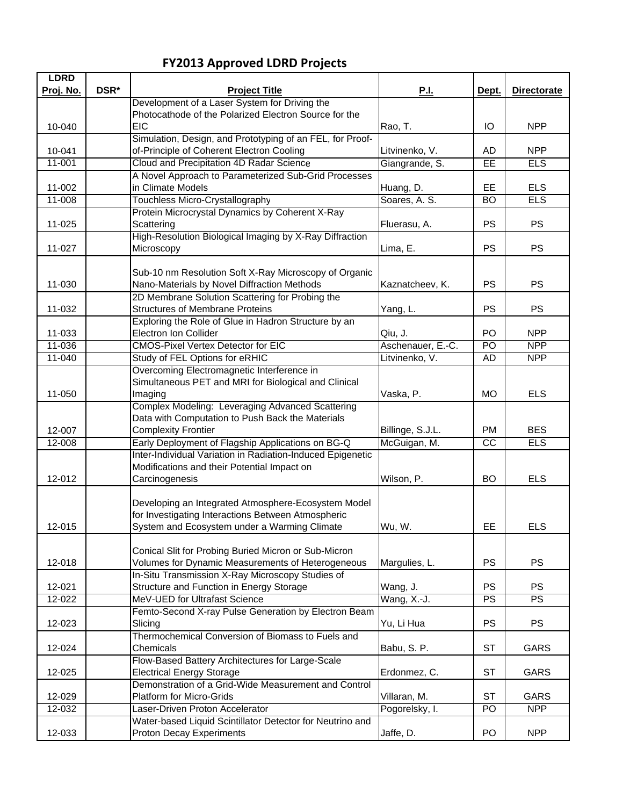## **FY2013 Approved LDRD Projects**

| <b>LDRD</b> |      |                                                            |                   |                 |                    |
|-------------|------|------------------------------------------------------------|-------------------|-----------------|--------------------|
| Proj. No.   | DSR* | <b>Project Title</b>                                       | <u>P.I.</u>       | Dept.           | <b>Directorate</b> |
|             |      | Development of a Laser System for Driving the              |                   |                 |                    |
|             |      | Photocathode of the Polarized Electron Source for the      |                   |                 |                    |
| 10-040      |      | <b>EIC</b>                                                 | Rao, T.           | IО              | <b>NPP</b>         |
|             |      | Simulation, Design, and Prototyping of an FEL, for Proof-  |                   |                 |                    |
| 10-041      |      | of-Principle of Coherent Electron Cooling                  | Litvinenko, V.    | AD              | <b>NPP</b>         |
| $11-001$    |      | Cloud and Precipitation 4D Radar Science                   | Giangrande, S.    | EE              | <b>ELS</b>         |
|             |      | A Novel Approach to Parameterized Sub-Grid Processes       |                   |                 |                    |
| 11-002      |      | in Climate Models                                          | Huang, D.         | EE.             | <b>ELS</b>         |
| 11-008      |      | Touchless Micro-Crystallography                            | Soares, A. S.     | <b>BO</b>       | <b>ELS</b>         |
|             |      | Protein Microcrystal Dynamics by Coherent X-Ray            |                   |                 |                    |
| 11-025      |      | Scattering                                                 | Fluerasu, A.      | <b>PS</b>       | <b>PS</b>          |
|             |      | High-Resolution Biological Imaging by X-Ray Diffraction    |                   |                 |                    |
| 11-027      |      | Microscopy                                                 | Lima, E.          | <b>PS</b>       | <b>PS</b>          |
|             |      |                                                            |                   |                 |                    |
|             |      | Sub-10 nm Resolution Soft X-Ray Microscopy of Organic      |                   |                 |                    |
| 11-030      |      | Nano-Materials by Novel Diffraction Methods                | Kaznatcheev, K.   | <b>PS</b>       | <b>PS</b>          |
|             |      | 2D Membrane Solution Scattering for Probing the            |                   |                 |                    |
| 11-032      |      | <b>Structures of Membrane Proteins</b>                     | Yang, L.          | <b>PS</b>       | PS                 |
|             |      | Exploring the Role of Glue in Hadron Structure by an       |                   |                 |                    |
| 11-033      |      | <b>Electron Ion Collider</b>                               | Qiu, J.           | PO              | <b>NPP</b>         |
| 11-036      |      | <b>CMOS-Pixel Vertex Detector for EIC</b>                  | Aschenauer, E.-C. | $\overline{PQ}$ | <b>NPP</b>         |
| $11 - 040$  |      | Study of FEL Options for eRHIC                             | Litvinenko, V.    | AD              | <b>NPP</b>         |
|             |      | Overcoming Electromagnetic Interference in                 |                   |                 |                    |
|             |      | Simultaneous PET and MRI for Biological and Clinical       |                   |                 |                    |
| 11-050      |      | Imaging                                                    | Vaska, P.         | <b>MO</b>       | <b>ELS</b>         |
|             |      | Complex Modeling: Leveraging Advanced Scattering           |                   |                 |                    |
|             |      | Data with Computation to Push Back the Materials           |                   |                 |                    |
| 12-007      |      | <b>Complexity Frontier</b>                                 | Billinge, S.J.L.  | <b>PM</b>       | <b>BES</b>         |
| 12-008      |      | Early Deployment of Flagship Applications on BG-Q          | McGuigan, M.      | $\overline{cc}$ | ELS                |
|             |      | Inter-Individual Variation in Radiation-Induced Epigenetic |                   |                 |                    |
|             |      | Modifications and their Potential Impact on                |                   |                 |                    |
| 12-012      |      | Carcinogenesis                                             | Wilson, P.        | <b>BO</b>       | <b>ELS</b>         |
|             |      |                                                            |                   |                 |                    |
|             |      | Developing an Integrated Atmosphere-Ecosystem Model        |                   |                 |                    |
|             |      | for Investigating Interactions Between Atmospheric         |                   |                 |                    |
| 12-015      |      | System and Ecosystem under a Warming Climate               | Wu, W.            | EE              | <b>ELS</b>         |
|             |      |                                                            |                   |                 |                    |
|             |      | Conical Slit for Probing Buried Micron or Sub-Micron       |                   |                 |                    |
| 12-018      |      | Volumes for Dynamic Measurements of Heterogeneous          | Margulies, L.     | <b>PS</b>       | <b>PS</b>          |
|             |      | In-Situ Transmission X-Ray Microscopy Studies of           |                   |                 |                    |
| 12-021      |      | Structure and Function in Energy Storage                   | Wang, J.          | <b>PS</b>       | <b>PS</b>          |
| 12-022      |      | MeV-UED for Ultrafast Science                              | Wang, X.-J.       | PS              | PS                 |
|             |      | Femto-Second X-ray Pulse Generation by Electron Beam       |                   |                 |                    |
| 12-023      |      | Slicing                                                    | Yu, Li Hua        | <b>PS</b>       | <b>PS</b>          |
|             |      | Thermochemical Conversion of Biomass to Fuels and          |                   |                 |                    |
| 12-024      |      | Chemicals                                                  | Babu, S. P.       | <b>ST</b>       | GARS               |
|             |      | Flow-Based Battery Architectures for Large-Scale           |                   |                 |                    |
| 12-025      |      | <b>Electrical Energy Storage</b>                           | Erdonmez, C.      | <b>ST</b>       | GARS               |
|             |      | Demonstration of a Grid-Wide Measurement and Control       |                   |                 |                    |
| 12-029      |      | <b>Platform for Micro-Grids</b>                            | Villaran, M.      | <b>ST</b>       | GARS               |
| 12-032      |      | Laser-Driven Proton Accelerator                            | Pogorelsky, I.    | PO              | <b>NPP</b>         |
|             |      | Water-based Liquid Scintillator Detector for Neutrino and  |                   |                 |                    |
| 12-033      |      | <b>Proton Decay Experiments</b>                            | Jaffe, D.         | PO              | <b>NPP</b>         |